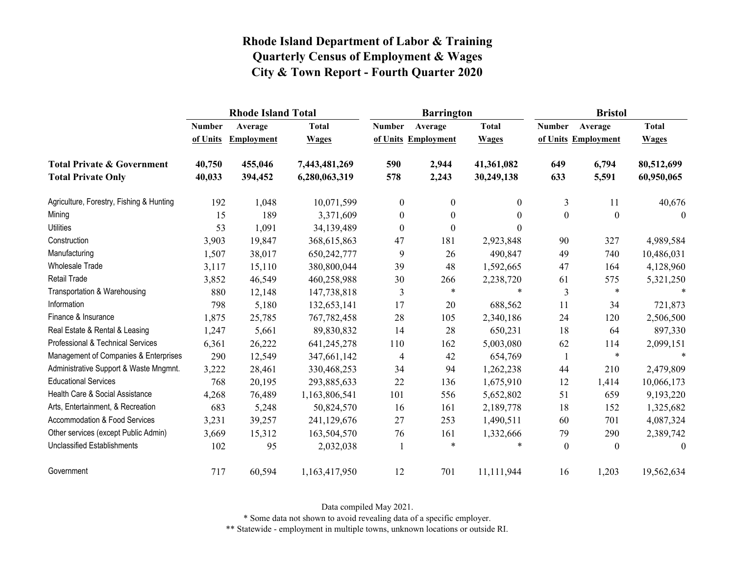|                                          | <b>Rhode Island Total</b> |                   |               |                  | <b>Barrington</b>   |              | <b>Bristol</b> |                     |              |
|------------------------------------------|---------------------------|-------------------|---------------|------------------|---------------------|--------------|----------------|---------------------|--------------|
|                                          | <b>Number</b>             | Average           | <b>Total</b>  | <b>Number</b>    | Average             | <b>Total</b> | <b>Number</b>  | Average             | <b>Total</b> |
|                                          | of Units                  | <b>Employment</b> | <b>Wages</b>  |                  | of Units Employment | <b>Wages</b> |                | of Units Employment | <b>Wages</b> |
| <b>Total Private &amp; Government</b>    | 40,750                    | 455,046           | 7,443,481,269 | 590              | 2,944               | 41,361,082   | 649            | 6,794               | 80,512,699   |
| <b>Total Private Only</b>                | 40,033                    | 394,452           | 6,280,063,319 | 578              | 2,243               | 30,249,138   | 633            | 5,591               | 60,950,065   |
| Agriculture, Forestry, Fishing & Hunting | 192                       | 1,048             | 10,071,599    | $\boldsymbol{0}$ | $\mathbf{0}$        | 0            | 3              | 11                  | 40,676       |
| Mining                                   | 15                        | 189               | 3,371,609     | $\boldsymbol{0}$ | $\theta$            | $\theta$     | $\theta$       | $\mathbf{0}$        | $\mathbf{0}$ |
| <b>Utilities</b>                         | 53                        | 1,091             | 34,139,489    | $\mathbf{0}$     | $\theta$            | $\Omega$     |                |                     |              |
| Construction                             | 3,903                     | 19,847            | 368,615,863   | 47               | 181                 | 2,923,848    | 90             | 327                 | 4,989,584    |
| Manufacturing                            | 1,507                     | 38,017            | 650,242,777   | 9                | 26                  | 490,847      | 49             | 740                 | 10,486,031   |
| <b>Wholesale Trade</b>                   | 3,117                     | 15,110            | 380,800,044   | 39               | 48                  | 1,592,665    | 47             | 164                 | 4,128,960    |
| <b>Retail Trade</b>                      | 3,852                     | 46,549            | 460,258,988   | 30               | 266                 | 2,238,720    | 61             | 575                 | 5,321,250    |
| Transportation & Warehousing             | 880                       | 12,148            | 147,738,818   | 3                | $\ast$              | $\ast$       | 3              | $\ast$              |              |
| Information                              | 798                       | 5,180             | 132,653,141   | 17               | 20                  | 688,562      | 11             | 34                  | 721,873      |
| Finance & Insurance                      | 1,875                     | 25,785            | 767,782,458   | 28               | 105                 | 2,340,186    | 24             | 120                 | 2,506,500    |
| Real Estate & Rental & Leasing           | 1,247                     | 5,661             | 89,830,832    | 14               | 28                  | 650,231      | 18             | 64                  | 897,330      |
| Professional & Technical Services        | 6,361                     | 26,222            | 641,245,278   | 110              | 162                 | 5,003,080    | 62             | 114                 | 2,099,151    |
| Management of Companies & Enterprises    | 290                       | 12,549            | 347,661,142   | 4                | 42                  | 654,769      | $\mathbf{1}$   | $\ast$              | $\ast$       |
| Administrative Support & Waste Mngmnt.   | 3,222                     | 28,461            | 330,468,253   | 34               | 94                  | 1,262,238    | 44             | 210                 | 2,479,809    |
| <b>Educational Services</b>              | 768                       | 20,195            | 293,885,633   | 22               | 136                 | 1,675,910    | 12             | 1,414               | 10,066,173   |
| Health Care & Social Assistance          | 4,268                     | 76,489            | 1,163,806,541 | 101              | 556                 | 5,652,802    | 51             | 659                 | 9,193,220    |
| Arts, Entertainment, & Recreation        | 683                       | 5,248             | 50,824,570    | 16               | 161                 | 2,189,778    | 18             | 152                 | 1,325,682    |
| <b>Accommodation &amp; Food Services</b> | 3,231                     | 39,257            | 241,129,676   | 27               | 253                 | 1,490,511    | 60             | 701                 | 4,087,324    |
| Other services (except Public Admin)     | 3,669                     | 15,312            | 163,504,570   | 76               | 161                 | 1,332,666    | 79             | 290                 | 2,389,742    |
| <b>Unclassified Establishments</b>       | 102                       | 95                | 2,032,038     |                  | $\ast$              | $\ast$       | $\theta$       | $\theta$            | $\theta$     |
| Government                               | 717                       | 60,594            | 1,163,417,950 | 12               | 701                 | 11,111,944   | 16             | 1,203               | 19,562,634   |

Data compiled May 2021.

\* Some data not shown to avoid revealing data of a specific employer.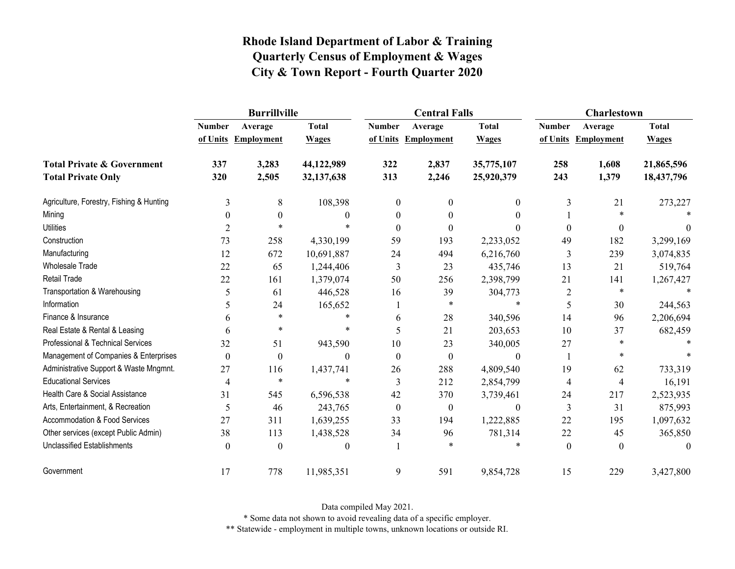|                                          | <b>Burrillville</b> |                     |              |               | <b>Central Falls</b> |                | <b>Charlestown</b> |                     |              |
|------------------------------------------|---------------------|---------------------|--------------|---------------|----------------------|----------------|--------------------|---------------------|--------------|
|                                          | <b>Number</b>       | Average             | <b>Total</b> | <b>Number</b> | Average              | <b>Total</b>   | <b>Number</b>      | Average             | <b>Total</b> |
|                                          |                     | of Units Employment | <b>Wages</b> |               | of Units Employment  | <b>Wages</b>   |                    | of Units Employment | <b>Wages</b> |
| <b>Total Private &amp; Government</b>    | 337                 | 3,283               | 44,122,989   | 322           | 2,837                | 35,775,107     | 258                | 1,608               | 21,865,596   |
| <b>Total Private Only</b>                | 320                 | 2,505               | 32,137,638   | 313           | 2,246                | 25,920,379     | 243                | 1,379               | 18,437,796   |
| Agriculture, Forestry, Fishing & Hunting | 3                   | 8                   | 108,398      | $\theta$      | $\theta$             | $\theta$       | 3                  | 21                  | 273,227      |
| Mining                                   | $\theta$            | $\boldsymbol{0}$    | 0            | $\theta$      | 0                    | 0              |                    | $\ast$              |              |
| <b>Utilities</b>                         | $\overline{2}$      | $\ast$              | $\ast$       | $\Omega$      | $\Omega$             |                | $\theta$           | $\bf{0}$            | $\theta$     |
| Construction                             | 73                  | 258                 | 4,330,199    | 59            | 193                  | 2,233,052      | 49                 | 182                 | 3,299,169    |
| Manufacturing                            | 12                  | 672                 | 10,691,887   | 24            | 494                  | 6,216,760      | 3                  | 239                 | 3,074,835    |
| <b>Wholesale Trade</b>                   | 22                  | 65                  | 1,244,406    | 3             | 23                   | 435,746        | 13                 | 21                  | 519,764      |
| Retail Trade                             | 22                  | 161                 | 1,379,074    | 50            | 256                  | 2,398,799      | 21                 | 141                 | 1,267,427    |
| Transportation & Warehousing             | 5                   | 61                  | 446,528      | 16            | 39                   | 304,773        | 2                  | $\ast$              |              |
| Information                              | 5                   | 24                  | 165,652      |               | $\ast$               | $\ast$         | 5                  | 30                  | 244,563      |
| Finance & Insurance                      | 6                   | $\ast$              | $\ast$       | 6             | 28                   | 340,596        | 14                 | 96                  | 2,206,694    |
| Real Estate & Rental & Leasing           | 6                   | $\ast$              | $\ast$       | 5             | 21                   | 203,653        | 10                 | 37                  | 682,459      |
| Professional & Technical Services        | 32                  | 51                  | 943,590      | 10            | 23                   | 340,005        | 27                 | $\ast$              |              |
| Management of Companies & Enterprises    | $\boldsymbol{0}$    | $\boldsymbol{0}$    | $\theta$     | $\Omega$      | $\theta$             | $\theta$       |                    |                     |              |
| Administrative Support & Waste Mngmnt.   | 27                  | 116                 | 1,437,741    | 26            | 288                  | 4,809,540      | 19                 | 62                  | 733,319      |
| <b>Educational Services</b>              | 4                   | $\ast$              | $\ast$       | 3             | 212                  | 2,854,799      | 4                  | $\overline{4}$      | 16,191       |
| Health Care & Social Assistance          | 31                  | 545                 | 6,596,538    | 42            | 370                  | 3,739,461      | 24                 | 217                 | 2,523,935    |
| Arts, Entertainment, & Recreation        | 5                   | 46                  | 243,765      | $\theta$      | $\boldsymbol{0}$     | $\overline{0}$ | 3                  | 31                  | 875,993      |
| <b>Accommodation &amp; Food Services</b> | 27                  | 311                 | 1,639,255    | 33            | 194                  | 1,222,885      | 22                 | 195                 | 1,097,632    |
| Other services (except Public Admin)     | 38                  | 113                 | 1,438,528    | 34            | 96                   | 781,314        | 22                 | 45                  | 365,850      |
| Unclassified Establishments              | $\theta$            | $\theta$            | 0            |               | $\star$              |                | $\theta$           | $\theta$            | $\theta$     |
| Government                               | 17                  | 778                 | 11,985,351   | 9             | 591                  | 9,854,728      | 15                 | 229                 | 3,427,800    |

Data compiled May 2021.

\* Some data not shown to avoid revealing data of a specific employer.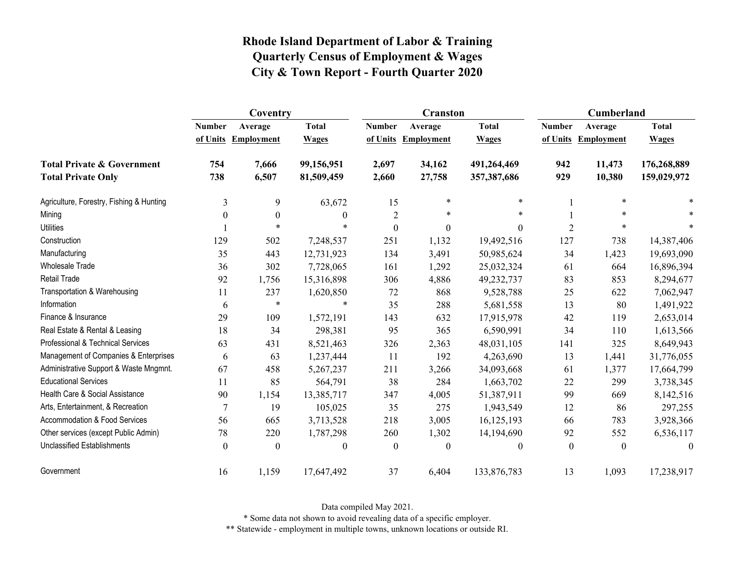|                                          | Coventry       |                   |              |                  | <b>Cranston</b>   |               | Cumberland     |                     |              |
|------------------------------------------|----------------|-------------------|--------------|------------------|-------------------|---------------|----------------|---------------------|--------------|
|                                          | <b>Number</b>  | Average           | <b>Total</b> | <b>Number</b>    | Average           | <b>Total</b>  | <b>Number</b>  | Average             | <b>Total</b> |
|                                          | of Units       | <b>Employment</b> | <b>Wages</b> | of Units         | <b>Employment</b> | <b>Wages</b>  |                | of Units Employment | <b>Wages</b> |
| <b>Total Private &amp; Government</b>    | 754            | 7,666             | 99,156,951   | 2,697            | 34,162            | 491,264,469   | 942            | 11,473              | 176,268,889  |
| <b>Total Private Only</b>                | 738            | 6,507             | 81,509,459   | 2,660            | 27,758            | 357, 387, 686 | 929            | 10,380              | 159,029,972  |
| Agriculture, Forestry, Fishing & Hunting | 3              | 9                 | 63,672       | 15               | $\ast$            | $\star$       |                | $\ast$              |              |
| Mining                                   | $\theta$       | $\boldsymbol{0}$  | $\theta$     | $\overline{c}$   | $\ast$            | $\ast$        |                | $\ast$              |              |
| <b>Utilities</b>                         |                | $\ast$            |              | $\boldsymbol{0}$ | $\theta$          | $\theta$      | $\overline{2}$ | $\ast$              | $\ast$       |
| Construction                             | 129            | 502               | 7,248,537    | 251              | 1,132             | 19,492,516    | 127            | 738                 | 14,387,406   |
| Manufacturing                            | 35             | 443               | 12,731,923   | 134              | 3,491             | 50,985,624    | 34             | 1,423               | 19,693,090   |
| <b>Wholesale Trade</b>                   | 36             | 302               | 7,728,065    | 161              | 1,292             | 25,032,324    | 61             | 664                 | 16,896,394   |
| Retail Trade                             | 92             | 1,756             | 15,316,898   | 306              | 4,886             | 49,232,737    | 83             | 853                 | 8,294,677    |
| Transportation & Warehousing             | 11             | 237               | 1,620,850    | 72               | 868               | 9,528,788     | 25             | 622                 | 7,062,947    |
| Information                              | 6              | $\ast$            | $\ast$       | 35               | 288               | 5,681,558     | 13             | 80                  | 1,491,922    |
| Finance & Insurance                      | 29             | 109               | 1,572,191    | 143              | 632               | 17,915,978    | 42             | 119                 | 2,653,014    |
| Real Estate & Rental & Leasing           | 18             | 34                | 298,381      | 95               | 365               | 6,590,991     | 34             | 110                 | 1,613,566    |
| Professional & Technical Services        | 63             | 431               | 8,521,463    | 326              | 2,363             | 48,031,105    | 141            | 325                 | 8,649,943    |
| Management of Companies & Enterprises    | 6              | 63                | 1,237,444    | 11               | 192               | 4,263,690     | 13             | 1,441               | 31,776,055   |
| Administrative Support & Waste Mngmnt.   | 67             | 458               | 5,267,237    | 211              | 3,266             | 34,093,668    | 61             | 1,377               | 17,664,799   |
| <b>Educational Services</b>              | 11             | 85                | 564,791      | 38               | 284               | 1,663,702     | 22             | 299                 | 3,738,345    |
| Health Care & Social Assistance          | 90             | 1,154             | 13,385,717   | 347              | 4,005             | 51,387,911    | 99             | 669                 | 8,142,516    |
| Arts, Entertainment, & Recreation        | $\overline{7}$ | 19                | 105,025      | 35               | 275               | 1,943,549     | 12             | 86                  | 297,255      |
| <b>Accommodation &amp; Food Services</b> | 56             | 665               | 3,713,528    | 218              | 3,005             | 16,125,193    | 66             | 783                 | 3,928,366    |
| Other services (except Public Admin)     | 78             | 220               | 1,787,298    | 260              | 1,302             | 14,194,690    | 92             | 552                 | 6,536,117    |
| <b>Unclassified Establishments</b>       | $\theta$       | $\theta$          | $\theta$     | $\theta$         | $\theta$          | $\theta$      | $\theta$       | $\theta$            | $\theta$     |
| Government                               | 16             | 1,159             | 17,647,492   | 37               | 6,404             | 133,876,783   | 13             | 1,093               | 17,238,917   |

Data compiled May 2021.

\* Some data not shown to avoid revealing data of a specific employer.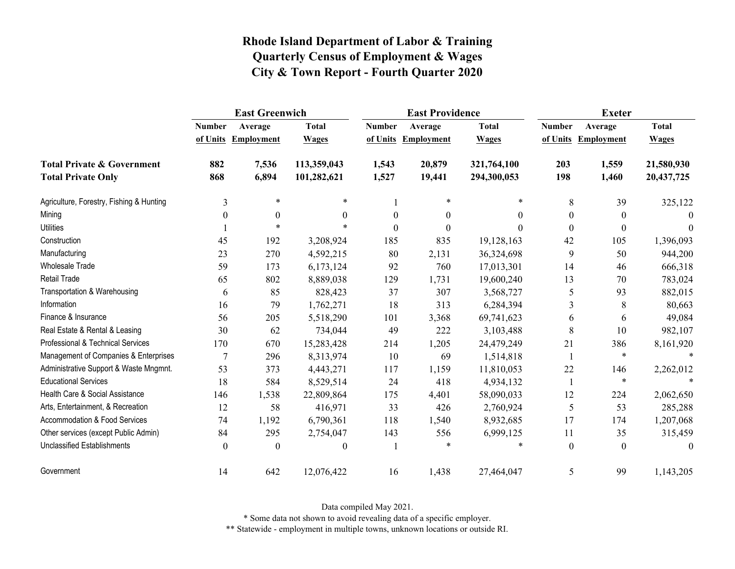|                                          | <b>East Greenwich</b>     |                              |                              |                           | <b>East Providence</b>       |                              | <b>Exeter</b> |                                |                              |
|------------------------------------------|---------------------------|------------------------------|------------------------------|---------------------------|------------------------------|------------------------------|---------------|--------------------------------|------------------------------|
|                                          | <b>Number</b><br>of Units | Average<br><b>Employment</b> | <b>Total</b><br><b>Wages</b> | <b>Number</b><br>of Units | Average<br><b>Employment</b> | <b>Total</b><br><b>Wages</b> | <b>Number</b> | Average<br>of Units Employment | <b>Total</b><br><b>Wages</b> |
|                                          |                           |                              |                              |                           |                              |                              |               |                                |                              |
| <b>Total Private &amp; Government</b>    | 882                       | 7,536                        | 113,359,043                  | 1,543                     | 20,879                       | 321,764,100                  | 203           | 1,559                          | 21,580,930                   |
| <b>Total Private Only</b>                | 868                       | 6,894                        | 101,282,621                  | 1,527                     | 19,441                       | 294,300,053                  | 198           | 1,460                          | 20,437,725                   |
| Agriculture, Forestry, Fishing & Hunting | 3                         | $\ast$                       | *                            |                           | $\ast$                       | $\ast$                       | 8             | 39                             | 325,122                      |
| Mining                                   | $\theta$                  | $\mathbf{0}$                 | $\Omega$                     | $\boldsymbol{0}$          | $\boldsymbol{0}$             | $\theta$                     | $\theta$      | $\overline{0}$                 | $\theta$                     |
| <b>Utilities</b>                         |                           | $\ast$                       |                              | $\theta$                  | $\theta$                     | $\Omega$                     | $\theta$      | $\boldsymbol{0}$               | $\theta$                     |
| Construction                             | 45                        | 192                          | 3,208,924                    | 185                       | 835                          | 19,128,163                   | 42            | 105                            | 1,396,093                    |
| Manufacturing                            | 23                        | 270                          | 4,592,215                    | 80                        | 2,131                        | 36,324,698                   | 9             | 50                             | 944,200                      |
| Wholesale Trade                          | 59                        | 173                          | 6,173,124                    | 92                        | 760                          | 17,013,301                   | 14            | 46                             | 666,318                      |
| Retail Trade                             | 65                        | 802                          | 8,889,038                    | 129                       | 1,731                        | 19,600,240                   | 13            | 70                             | 783,024                      |
| Transportation & Warehousing             | 6                         | 85                           | 828,423                      | 37                        | 307                          | 3,568,727                    | 5             | 93                             | 882,015                      |
| Information                              | 16                        | 79                           | 1,762,271                    | 18                        | 313                          | 6,284,394                    | 3             | 8                              | 80,663                       |
| Finance & Insurance                      | 56                        | 205                          | 5,518,290                    | 101                       | 3,368                        | 69,741,623                   | 6             | 6                              | 49,084                       |
| Real Estate & Rental & Leasing           | 30                        | 62                           | 734,044                      | 49                        | 222                          | 3,103,488                    | 8             | 10                             | 982,107                      |
| Professional & Technical Services        | 170                       | 670                          | 15,283,428                   | 214                       | 1,205                        | 24,479,249                   | 21            | 386                            | 8,161,920                    |
| Management of Companies & Enterprises    | 7                         | 296                          | 8,313,974                    | 10                        | 69                           | 1,514,818                    | -1            | $\ast$                         | $\ast$                       |
| Administrative Support & Waste Mngmnt.   | 53                        | 373                          | 4,443,271                    | 117                       | 1,159                        | 11,810,053                   | 22            | 146                            | 2,262,012                    |
| <b>Educational Services</b>              | 18                        | 584                          | 8,529,514                    | 24                        | 418                          | 4,934,132                    | 1             | $\ast$                         |                              |
| Health Care & Social Assistance          | 146                       | 1,538                        | 22,809,864                   | 175                       | 4,401                        | 58,090,033                   | 12            | 224                            | 2,062,650                    |
| Arts, Entertainment, & Recreation        | 12                        | 58                           | 416,971                      | 33                        | 426                          | 2,760,924                    | 5             | 53                             | 285,288                      |
| <b>Accommodation &amp; Food Services</b> | 74                        | 1,192                        | 6,790,361                    | 118                       | 1,540                        | 8,932,685                    | 17            | 174                            | 1,207,068                    |
| Other services (except Public Admin)     | 84                        | 295                          | 2,754,047                    | 143                       | 556                          | 6,999,125                    | 11            | 35                             | 315,459                      |
| Unclassified Establishments              | $\theta$                  | $\theta$                     | $\theta$                     |                           | $\ast$                       | $\ast$                       | $\theta$      | $\theta$                       | $\theta$                     |
| Government                               | 14                        | 642                          | 12,076,422                   | 16                        | 1,438                        | 27,464,047                   | 5             | 99                             | 1,143,205                    |

Data compiled May 2021.

\* Some data not shown to avoid revealing data of a specific employer.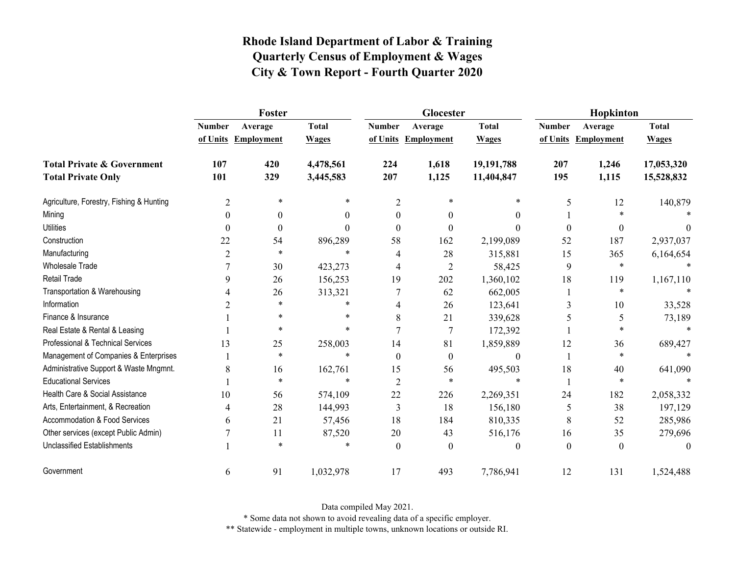|                                          | Foster         |                     |              |                  | Glocester           |              | Hopkinton     |                     |              |  |
|------------------------------------------|----------------|---------------------|--------------|------------------|---------------------|--------------|---------------|---------------------|--------------|--|
|                                          | <b>Number</b>  | Average             | <b>Total</b> | <b>Number</b>    | Average             | <b>Total</b> | <b>Number</b> | Average             | <b>Total</b> |  |
|                                          |                | of Units Employment | <b>Wages</b> |                  | of Units Employment | <b>Wages</b> |               | of Units Employment | <b>Wages</b> |  |
| <b>Total Private &amp; Government</b>    | 107            | 420                 | 4,478,561    | 224              | 1,618               | 19,191,788   | 207           | 1,246               | 17,053,320   |  |
| <b>Total Private Only</b>                | 101            | 329                 | 3,445,583    | 207              | 1,125               | 11,404,847   | 195           | 1,115               | 15,528,832   |  |
| Agriculture, Forestry, Fishing & Hunting | $\overline{c}$ | $\ast$              | $\ast$       | $\overline{2}$   | $\ast$              | $\ast$       | 5             | 12                  | 140,879      |  |
| Mining                                   | $\theta$       | $\theta$            | 0            | $\boldsymbol{0}$ | $\theta$            | $\theta$     |               | $\ast$              |              |  |
| <b>Utilities</b>                         | $\theta$       | $\theta$            | 0            | 0                | $\Omega$            | $\Omega$     | $\theta$      | $\theta$            | $\theta$     |  |
| Construction                             | 22             | 54                  | 896,289      | 58               | 162                 | 2,199,089    | 52            | 187                 | 2,937,037    |  |
| Manufacturing                            | $\overline{c}$ | $\ast$              | $\ast$       |                  | 28                  | 315,881      | 15            | 365                 | 6,164,654    |  |
| <b>Wholesale Trade</b>                   |                | 30                  | 423,273      | 4                | $\overline{2}$      | 58,425       | 9             | $\ast$              | $\ast$       |  |
| Retail Trade                             | 9              | 26                  | 156,253      | 19               | 202                 | 1,360,102    | 18            | 119                 | 1,167,110    |  |
| Transportation & Warehousing             | 4              | 26                  | 313,321      |                  | 62                  | 662,005      |               | $\ast$              |              |  |
| Information                              | 2              | $\ast$              | $\ast$       |                  | 26                  | 123,641      | 3             | 10                  | 33,528       |  |
| Finance & Insurance                      |                | $\ast$              | $\ast$       | 8                | 21                  | 339,628      | 5             | 5                   | 73,189       |  |
| Real Estate & Rental & Leasing           |                | $\star$             | $\ast$       |                  |                     | 172,392      |               | $\ast$              |              |  |
| Professional & Technical Services        | 13             | 25                  | 258,003      | 14               | 81                  | 1,859,889    | 12            | 36                  | 689,427      |  |
| Management of Companies & Enterprises    |                | $\ast$              | $\ast$       | $\Omega$         | $\theta$            | $\theta$     |               | $\ast$              | $\ast$       |  |
| Administrative Support & Waste Mngmnt.   | 8              | 16                  | 162,761      | 15               | 56                  | 495,503      | 18            | 40                  | 641,090      |  |
| <b>Educational Services</b>              |                | $\ast$              | $\ast$       | $\overline{2}$   | $\ast$              | $\star$      |               | $\ast$              |              |  |
| Health Care & Social Assistance          | 10             | 56                  | 574,109      | 22               | 226                 | 2,269,351    | 24            | 182                 | 2,058,332    |  |
| Arts, Entertainment, & Recreation        | 4              | 28                  | 144,993      | 3                | 18                  | 156,180      | 5             | 38                  | 197,129      |  |
| <b>Accommodation &amp; Food Services</b> | 6              | 21                  | 57,456       | 18               | 184                 | 810,335      | 8             | 52                  | 285,986      |  |
| Other services (except Public Admin)     |                | 11                  | 87,520       | 20               | 43                  | 516,176      | 16            | 35                  | 279,696      |  |
| <b>Unclassified Establishments</b>       |                | $\star$             | $\ast$       | $\Omega$         | $\Omega$            | $\theta$     | $\theta$      | $\theta$            | $\theta$     |  |
| Government                               | 6              | 91                  | 1,032,978    | 17               | 493                 | 7,786,941    | 12            | 131                 | 1,524,488    |  |

Data compiled May 2021.

\* Some data not shown to avoid revealing data of a specific employer.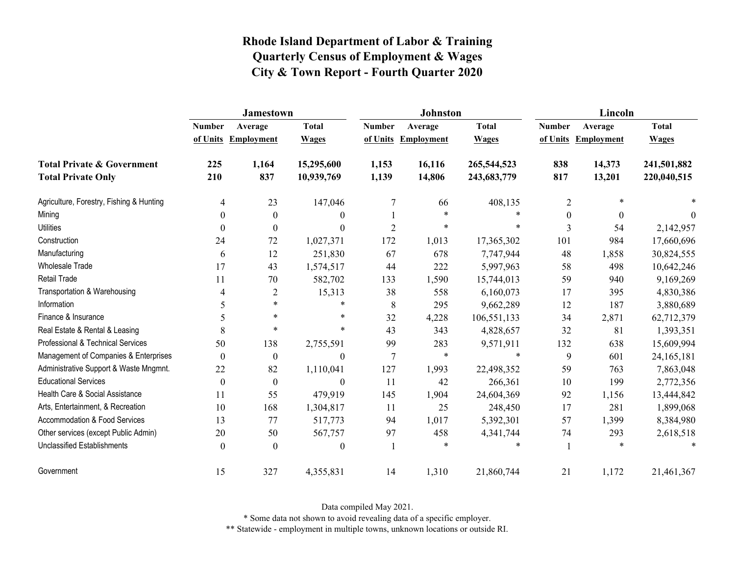|                                          | <b>Jamestown</b> |                     |                  |                | <b>Johnston</b>   |              | Lincoln          |                   |              |
|------------------------------------------|------------------|---------------------|------------------|----------------|-------------------|--------------|------------------|-------------------|--------------|
|                                          | <b>Number</b>    | Average             | <b>Total</b>     | <b>Number</b>  | Average           | <b>Total</b> | <b>Number</b>    | Average           | <b>Total</b> |
|                                          |                  | of Units Employment | <b>Wages</b>     | of Units       | <b>Employment</b> | <b>Wages</b> | of Units         | <b>Employment</b> | <b>Wages</b> |
| <b>Total Private &amp; Government</b>    | 225              | 1,164               | 15,295,600       | 1,153          | 16,116            | 265,544,523  | 838              | 14,373            | 241,501,882  |
| <b>Total Private Only</b>                | 210              | 837                 | 10,939,769       | 1,139          | 14,806            | 243,683,779  | 817              | 13,201            | 220,040,515  |
| Agriculture, Forestry, Fishing & Hunting | $\overline{4}$   | 23                  | 147,046          | 7              | 66                | 408,135      | 2                | *                 |              |
| Mining                                   | $\theta$         | $\boldsymbol{0}$    | $\boldsymbol{0}$ |                | $\ast$            | $\star$      | $\boldsymbol{0}$ | $\mathbf{0}$      | $\theta$     |
| <b>Utilities</b>                         | 0                | $\theta$            | $\theta$         | $\overline{2}$ | $\ast$            | $\ast$       | 3                | 54                | 2,142,957    |
| Construction                             | 24               | 72                  | 1,027,371        | 172            | 1,013             | 17,365,302   | 101              | 984               | 17,660,696   |
| Manufacturing                            | 6                | 12                  | 251,830          | 67             | 678               | 7,747,944    | 48               | 1,858             | 30,824,555   |
| <b>Wholesale Trade</b>                   | 17               | 43                  | 1,574,517        | 44             | 222               | 5,997,963    | 58               | 498               | 10,642,246   |
| <b>Retail Trade</b>                      | 11               | $70\,$              | 582,702          | 133            | 1,590             | 15,744,013   | 59               | 940               | 9,169,269    |
| Transportation & Warehousing             | 4                | $\overline{2}$      | 15,313           | 38             | 558               | 6,160,073    | 17               | 395               | 4,830,386    |
| Information                              | 5                | $\ast$              | *                | $\,8\,$        | 295               | 9,662,289    | 12               | 187               | 3,880,689    |
| Finance & Insurance                      | 5                | $\ast$              | *                | 32             | 4,228             | 106,551,133  | 34               | 2,871             | 62,712,379   |
| Real Estate & Rental & Leasing           | 8                | $\ast$              | *                | 43             | 343               | 4,828,657    | 32               | 81                | 1,393,351    |
| Professional & Technical Services        | 50               | 138                 | 2,755,591        | 99             | 283               | 9,571,911    | 132              | 638               | 15,609,994   |
| Management of Companies & Enterprises    | $\boldsymbol{0}$ | $\mathbf{0}$        | $\boldsymbol{0}$ | $\overline{7}$ | $\ast$            | $\ast$       | 9                | 601               | 24,165,181   |
| Administrative Support & Waste Mngmnt.   | 22               | 82                  | 1,110,041        | 127            | 1,993             | 22,498,352   | 59               | 763               | 7,863,048    |
| <b>Educational Services</b>              | $\theta$         | $\theta$            | $\boldsymbol{0}$ | 11             | 42                | 266,361      | 10               | 199               | 2,772,356    |
| Health Care & Social Assistance          | 11               | 55                  | 479,919          | 145            | 1,904             | 24,604,369   | 92               | 1,156             | 13,444,842   |
| Arts, Entertainment, & Recreation        | 10               | 168                 | 1,304,817        | 11             | 25                | 248,450      | 17               | 281               | 1,899,068    |
| <b>Accommodation &amp; Food Services</b> | 13               | 77                  | 517,773          | 94             | 1,017             | 5,392,301    | 57               | 1,399             | 8,384,980    |
| Other services (except Public Admin)     | 20               | 50                  | 567,757          | 97             | 458               | 4,341,744    | 74               | 293               | 2,618,518    |
| Unclassified Establishments              | $\theta$         | $\Omega$            | $\boldsymbol{0}$ |                | $\ast$            | $\ast$       |                  | $\ast$            | $\ast$       |
| Government                               | 15               | 327                 | 4,355,831        | 14             | 1,310             | 21,860,744   | 21               | 1,172             | 21,461,367   |

Data compiled May 2021.

\* Some data not shown to avoid revealing data of a specific employer.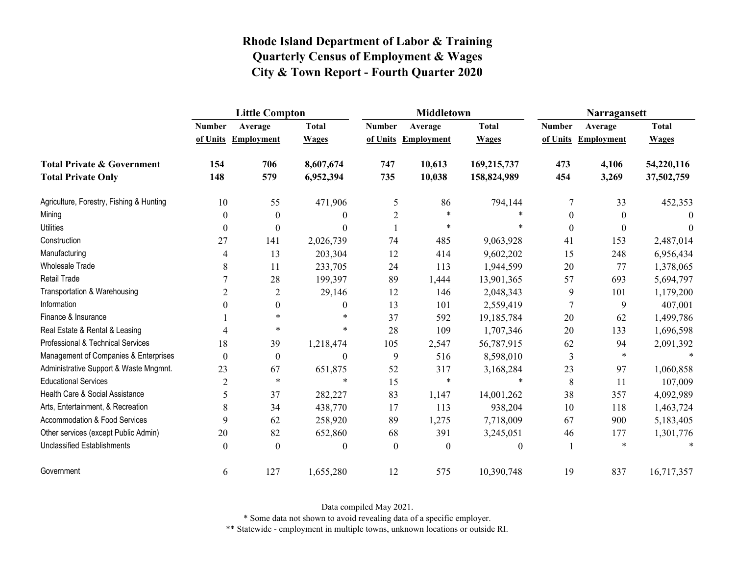|                                          | <b>Little Compton</b> |                   |                |                | <b>Middletown</b>   |              | Narragansett   |                   |              |
|------------------------------------------|-----------------------|-------------------|----------------|----------------|---------------------|--------------|----------------|-------------------|--------------|
|                                          | <b>Number</b>         | Average           | <b>Total</b>   | <b>Number</b>  | Average             | <b>Total</b> | <b>Number</b>  | Average           | <b>Total</b> |
|                                          | of Units              | <b>Employment</b> | <b>Wages</b>   |                | of Units Employment | <b>Wages</b> | of Units       | <b>Employment</b> | <b>Wages</b> |
| <b>Total Private &amp; Government</b>    | 154                   | 706               | 8,607,674      | 747            | 10,613              | 169,215,737  | 473            | 4,106             | 54,220,116   |
| <b>Total Private Only</b>                | 148                   | 579               | 6,952,394      | 735            | 10,038              | 158,824,989  | 454            | 3,269             | 37,502,759   |
| Agriculture, Forestry, Fishing & Hunting | 10                    | 55                | 471,906        | 5              | 86                  | 794,144      | 7              | 33                | 452,353      |
| Mining                                   | $\boldsymbol{0}$      | $\boldsymbol{0}$  | $\theta$       | $\overline{c}$ | $\ast$              |              | $\theta$       | $\boldsymbol{0}$  | $\theta$     |
| <b>Utilities</b>                         | $\theta$              | $\boldsymbol{0}$  | $\Omega$       |                | $\ast$              |              | $\theta$       | $\theta$          | $\Omega$     |
| Construction                             | 27                    | 141               | 2,026,739      | 74             | 485                 | 9,063,928    | 41             | 153               | 2,487,014    |
| Manufacturing                            | 4                     | 13                | 203,304        | 12             | 414                 | 9,602,202    | 15             | 248               | 6,956,434    |
| <b>Wholesale Trade</b>                   | 8                     | 11                | 233,705        | 24             | 113                 | 1,944,599    | 20             | 77                | 1,378,065    |
| Retail Trade                             |                       | 28                | 199,397        | 89             | 1,444               | 13,901,365   | 57             | 693               | 5,694,797    |
| Transportation & Warehousing             | $\overline{2}$        | $\overline{2}$    | 29,146         | 12             | 146                 | 2,048,343    | 9              | 101               | 1,179,200    |
| Information                              | $\theta$              | $\boldsymbol{0}$  | $\overline{0}$ | 13             | 101                 | 2,559,419    | $\overline{7}$ | 9                 | 407,001      |
| Finance & Insurance                      |                       | $\star$           |                | 37             | 592                 | 19,185,784   | 20             | 62                | 1,499,786    |
| Real Estate & Rental & Leasing           | 4                     | $\ast$            | $\ast$         | 28             | 109                 | 1,707,346    | 20             | 133               | 1,696,598    |
| Professional & Technical Services        | 18                    | 39                | 1,218,474      | 105            | 2,547               | 56,787,915   | 62             | 94                | 2,091,392    |
| Management of Companies & Enterprises    | $\boldsymbol{0}$      | $\boldsymbol{0}$  | $\theta$       | 9              | 516                 | 8,598,010    | 3              | $\ast$            | $\ast$       |
| Administrative Support & Waste Mngmnt.   | 23                    | 67                | 651,875        | 52             | 317                 | 3,168,284    | 23             | 97                | 1,060,858    |
| <b>Educational Services</b>              | $\overline{2}$        | $\star$           | $\ast$         | 15             | $\ast$              | $\ast$       | 8              | 11                | 107,009      |
| Health Care & Social Assistance          | 5                     | 37                | 282,227        | 83             | 1,147               | 14,001,262   | 38             | 357               | 4,092,989    |
| Arts, Entertainment, & Recreation        | 8                     | 34                | 438,770        | 17             | 113                 | 938,204      | 10             | 118               | 1,463,724    |
| Accommodation & Food Services            | 9                     | 62                | 258,920        | 89             | 1,275               | 7,718,009    | 67             | 900               | 5,183,405    |
| Other services (except Public Admin)     | 20                    | 82                | 652,860        | 68             | 391                 | 3,245,051    | 46             | 177               | 1,301,776    |
| <b>Unclassified Establishments</b>       | $\theta$              | $\theta$          | $\theta$       | $\theta$       | $\boldsymbol{0}$    | $\theta$     |                | $\ast$            | $\ast$       |
| Government                               | 6                     | 127               | 1,655,280      | 12             | 575                 | 10,390,748   | 19             | 837               | 16,717,357   |

Data compiled May 2021.

\* Some data not shown to avoid revealing data of a specific employer.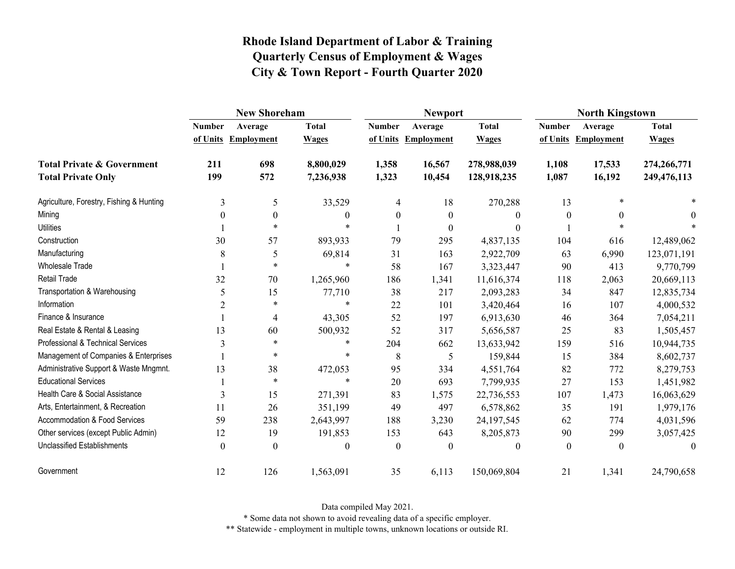|                                                                    | <b>New Shoreham</b> |                                |                              |                           | <b>Newport</b>               |                              | <b>North Kingstown</b>    |                              |                              |
|--------------------------------------------------------------------|---------------------|--------------------------------|------------------------------|---------------------------|------------------------------|------------------------------|---------------------------|------------------------------|------------------------------|
|                                                                    | <b>Number</b>       | Average<br>of Units Employment | <b>Total</b><br><b>Wages</b> | <b>Number</b><br>of Units | Average<br><b>Employment</b> | <b>Total</b><br><b>Wages</b> | <b>Number</b><br>of Units | Average<br><b>Employment</b> | <b>Total</b><br><b>Wages</b> |
| <b>Total Private &amp; Government</b><br><b>Total Private Only</b> | 211<br>199          | 698<br>572                     | 8,800,029<br>7,236,938       | 1,358<br>1,323            | 16,567<br>10,454             | 278,988,039<br>128,918,235   | 1,108<br>1,087            | 17,533<br>16,192             | 274,266,771<br>249,476,113   |
| Agriculture, Forestry, Fishing & Hunting                           | 3                   | 5                              | 33,529                       | $\overline{4}$            | 18                           | 270,288                      | 13                        | $\ast$                       |                              |
| Mining                                                             | $\Omega$            | $\mathbf{0}$                   | 0                            | $\theta$                  | $\boldsymbol{0}$             | $\boldsymbol{0}$             | $\boldsymbol{0}$          | $\mathbf{0}$                 |                              |
| <b>Utilities</b>                                                   |                     | $\ast$                         | $\ast$                       |                           | $\theta$                     | $\theta$                     |                           | $\ast$                       |                              |
| Construction                                                       | 30                  | 57                             | 893,933                      | 79                        | 295                          | 4,837,135                    | 104                       | 616                          | 12,489,062                   |
| Manufacturing                                                      | 8                   | 5                              | 69,814                       | 31                        | 163                          | 2,922,709                    | 63                        | 6,990                        | 123,071,191                  |
| <b>Wholesale Trade</b>                                             |                     | $\ast$                         | $\ast$                       | 58                        | 167                          | 3,323,447                    | 90                        | 413                          | 9,770,799                    |
| <b>Retail Trade</b>                                                | 32                  | 70                             | 1,265,960                    | 186                       | 1,341                        | 11,616,374                   | 118                       | 2,063                        | 20,669,113                   |
| Transportation & Warehousing                                       | 5                   | 15                             | 77,710                       | 38                        | 217                          | 2,093,283                    | 34                        | 847                          | 12,835,734                   |
| Information                                                        | $\overline{2}$      | $\ast$                         | $\ast$                       | 22                        | 101                          | 3,420,464                    | 16                        | 107                          | 4,000,532                    |
| Finance & Insurance                                                |                     | 4                              | 43,305                       | 52                        | 197                          | 6,913,630                    | 46                        | 364                          | 7,054,211                    |
| Real Estate & Rental & Leasing                                     | 13                  | 60                             | 500,932                      | 52                        | 317                          | 5,656,587                    | 25                        | 83                           | 1,505,457                    |
| Professional & Technical Services                                  | 3                   | $\ast$                         | $\ast$                       | 204                       | 662                          | 13,633,942                   | 159                       | 516                          | 10,944,735                   |
| Management of Companies & Enterprises                              |                     | $\ast$                         | $\ast$                       | 8                         | 5                            | 159,844                      | 15                        | 384                          | 8,602,737                    |
| Administrative Support & Waste Mngmnt.                             | 13                  | 38                             | 472,053                      | 95                        | 334                          | 4,551,764                    | 82                        | 772                          | 8,279,753                    |
| <b>Educational Services</b>                                        |                     | $\ast$                         | $\ast$                       | 20                        | 693                          | 7,799,935                    | 27                        | 153                          | 1,451,982                    |
| Health Care & Social Assistance                                    | 3                   | 15                             | 271,391                      | 83                        | 1,575                        | 22,736,553                   | 107                       | 1,473                        | 16,063,629                   |
| Arts, Entertainment, & Recreation                                  | 11                  | 26                             | 351,199                      | 49                        | 497                          | 6,578,862                    | 35                        | 191                          | 1,979,176                    |
| <b>Accommodation &amp; Food Services</b>                           | 59                  | 238                            | 2,643,997                    | 188                       | 3,230                        | 24, 197, 545                 | 62                        | 774                          | 4,031,596                    |
| Other services (except Public Admin)                               | 12                  | 19                             | 191,853                      | 153                       | 643                          | 8,205,873                    | 90                        | 299                          | 3,057,425                    |
| <b>Unclassified Establishments</b>                                 | $\Omega$            | $\Omega$                       | $\theta$                     | $\theta$                  | $\theta$                     | $\boldsymbol{0}$             | $\theta$                  | $\Omega$                     | $\Omega$                     |
| Government                                                         | 12                  | 126                            | 1,563,091                    | 35                        | 6,113                        | 150,069,804                  | 21                        | 1,341                        | 24,790,658                   |

Data compiled May 2021.

\* Some data not shown to avoid revealing data of a specific employer.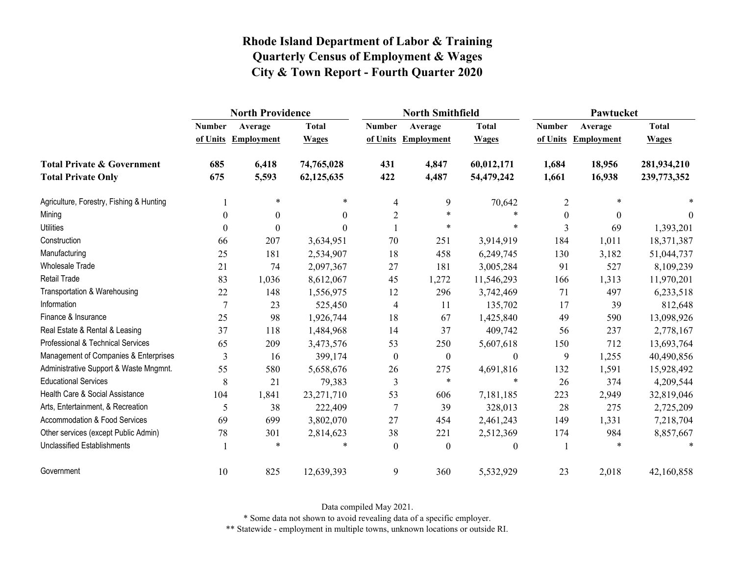|                                          | <b>North Providence</b> |                     |              |                | <b>North Smithfield</b> |              | Pawtucket     |                   |              |  |
|------------------------------------------|-------------------------|---------------------|--------------|----------------|-------------------------|--------------|---------------|-------------------|--------------|--|
|                                          | <b>Number</b>           | Average             | <b>Total</b> | <b>Number</b>  | Average                 | <b>Total</b> | <b>Number</b> | Average           | <b>Total</b> |  |
|                                          |                         | of Units Employment | <b>Wages</b> |                | of Units Employment     | <b>Wages</b> | of Units      | <b>Employment</b> | <b>Wages</b> |  |
| <b>Total Private &amp; Government</b>    | 685                     | 6,418               | 74,765,028   | 431            | 4,847                   | 60,012,171   | 1,684         | 18,956            | 281,934,210  |  |
| <b>Total Private Only</b>                | 675                     | 5,593               | 62,125,635   | 422            | 4,487                   | 54,479,242   | 1,661         | 16,938            | 239,773,352  |  |
| Agriculture, Forestry, Fishing & Hunting |                         | $\ast$              | $\ast$       | 4              | 9                       | 70,642       | 2             | $\ast$            |              |  |
| Mining                                   | $\theta$                | $\theta$            | $\theta$     | $\overline{2}$ | $\star$                 | $\ast$       | $\Omega$      | $\theta$          | $\Omega$     |  |
| <b>Utilities</b>                         | $\theta$                | $\theta$            | $\Omega$     |                | $\ast$                  | $\ast$       | 3             | 69                | 1,393,201    |  |
| Construction                             | 66                      | 207                 | 3,634,951    | 70             | 251                     | 3,914,919    | 184           | 1,011             | 18,371,387   |  |
| Manufacturing                            | 25                      | 181                 | 2,534,907    | 18             | 458                     | 6,249,745    | 130           | 3,182             | 51,044,737   |  |
| <b>Wholesale Trade</b>                   | 21                      | 74                  | 2,097,367    | 27             | 181                     | 3,005,284    | 91            | 527               | 8,109,239    |  |
| <b>Retail Trade</b>                      | 83                      | 1,036               | 8,612,067    | 45             | 1,272                   | 11,546,293   | 166           | 1,313             | 11,970,201   |  |
| Transportation & Warehousing             | 22                      | 148                 | 1,556,975    | 12             | 296                     | 3,742,469    | 71            | 497               | 6,233,518    |  |
| Information                              | $\overline{7}$          | 23                  | 525,450      | 4              | 11                      | 135,702      | 17            | 39                | 812,648      |  |
| Finance & Insurance                      | 25                      | 98                  | 1,926,744    | 18             | 67                      | 1,425,840    | 49            | 590               | 13,098,926   |  |
| Real Estate & Rental & Leasing           | 37                      | 118                 | 1,484,968    | 14             | 37                      | 409,742      | 56            | 237               | 2,778,167    |  |
| Professional & Technical Services        | 65                      | 209                 | 3,473,576    | 53             | 250                     | 5,607,618    | 150           | 712               | 13,693,764   |  |
| Management of Companies & Enterprises    | 3                       | 16                  | 399,174      | $\mathbf{0}$   | $\boldsymbol{0}$        | $\theta$     | 9             | 1,255             | 40,490,856   |  |
| Administrative Support & Waste Mngmnt.   | 55                      | 580                 | 5,658,676    | 26             | 275                     | 4,691,816    | 132           | 1,591             | 15,928,492   |  |
| <b>Educational Services</b>              | 8                       | 21                  | 79,383       | 3              | $\star$                 | $\ast$       | 26            | 374               | 4,209,544    |  |
| Health Care & Social Assistance          | 104                     | 1,841               | 23,271,710   | 53             | 606                     | 7,181,185    | 223           | 2,949             | 32,819,046   |  |
| Arts, Entertainment, & Recreation        | 5                       | 38                  | 222,409      | $\tau$         | 39                      | 328,013      | 28            | 275               | 2,725,209    |  |
| <b>Accommodation &amp; Food Services</b> | 69                      | 699                 | 3,802,070    | 27             | 454                     | 2,461,243    | 149           | 1,331             | 7,218,704    |  |
| Other services (except Public Admin)     | 78                      | 301                 | 2,814,623    | 38             | 221                     | 2,512,369    | 174           | 984               | 8,857,667    |  |
| <b>Unclassified Establishments</b>       |                         | $\ast$              |              | $\theta$       | $\boldsymbol{0}$        | $\theta$     |               |                   |              |  |
| Government                               | 10                      | 825                 | 12,639,393   | 9              | 360                     | 5,532,929    | 23            | 2,018             | 42,160,858   |  |

Data compiled May 2021.

\* Some data not shown to avoid revealing data of a specific employer.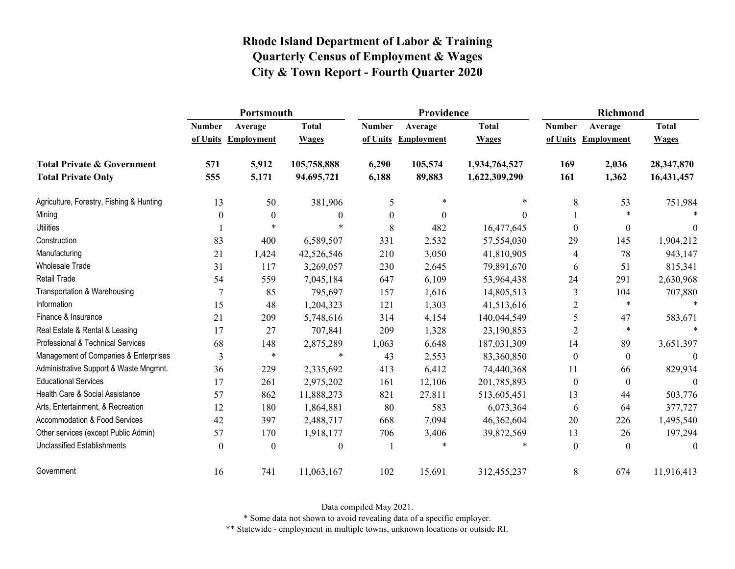|                                          | Portsmouth    |                     |                  |                  | Providence        |               | <b>Richmond</b>  |                     |              |
|------------------------------------------|---------------|---------------------|------------------|------------------|-------------------|---------------|------------------|---------------------|--------------|
|                                          | <b>Number</b> | Average             | <b>Total</b>     | <b>Number</b>    | Average           | <b>Total</b>  | <b>Number</b>    | Average             | <b>Total</b> |
|                                          |               | of Units Employment | <b>Wages</b>     | of Units         | <b>Employment</b> | <b>Wages</b>  |                  | of Units Employment | <b>Wages</b> |
| <b>Total Private &amp; Government</b>    | 571           | 5,912               | 105,758,888      | 6,290            | 105,574           | 1,934,764,527 | 169              | 2,036               | 28,347,870   |
| <b>Total Private Only</b>                | 555           | 5,171               | 94,695,721       | 6,188            | 89,883            | 1,622,309,290 | 161              | 1,362               | 16,431,457   |
| Agriculture, Forestry, Fishing & Hunting | 13            | 50                  | 381,906          | 5                | $\ast$            | *             | 8                | 53                  | 751,984      |
| Mining                                   | $\theta$      | $\mathbf{0}$        | $\boldsymbol{0}$ | $\boldsymbol{0}$ | $\theta$          | 0             |                  | $\ast$              |              |
| <b>Utilities</b>                         |               | $\ast$              | $\ast$           | 8                | 482               | 16,477,645    | $\theta$         | $\mathbf{0}$        | $\theta$     |
| Construction                             | 83            | 400                 | 6,589,507        | 331              | 2,532             | 57,554,030    | 29               | 145                 | 1,904,212    |
| Manufacturing                            | 21            | 1,424               | 42,526,546       | 210              | 3,050             | 41,810,905    | 4                | 78                  | 943,147      |
| Wholesale Trade                          | 31            | 117                 | 3,269,057        | 230              | 2,645             | 79,891,670    | 6                | 51                  | 815,341      |
| <b>Retail Trade</b>                      | 54            | 559                 | 7,045,184        | 647              | 6,109             | 53,964,438    | 24               | 291                 | 2,630,968    |
| Transportation & Warehousing             |               | 85                  | 795,697          | 157              | 1,616             | 14,805,513    | 3                | 104                 | 707,880      |
| Information                              | 15            | 48                  | 1,204,323        | 121              | 1,303             | 41,513,616    | $\overline{2}$   | $\ast$              | $\star$      |
| Finance & Insurance                      | 21            | 209                 | 5,748,616        | 314              | 4,154             | 140,044,549   | 5                | 47                  | 583,671      |
| Real Estate & Rental & Leasing           | 17            | 27                  | 707,841          | 209              | 1,328             | 23,190,853    | $\overline{2}$   | $\ast$              |              |
| Professional & Technical Services        | 68            | 148                 | 2,875,289        | 1,063            | 6,648             | 187,031,309   | 14               | 89                  | 3,651,397    |
| Management of Companies & Enterprises    | 3             | $\ast$              | $\ast$           | 43               | 2,553             | 83,360,850    | $\Omega$         | $\theta$            | $\theta$     |
| Administrative Support & Waste Mngmnt.   | 36            | 229                 | 2,335,692        | 413              | 6,412             | 74,440,368    | 11               | 66                  | 829,934      |
| <b>Educational Services</b>              | 17            | 261                 | 2,975,202        | 161              | 12,106            | 201,785,893   | $\boldsymbol{0}$ | $\theta$            | $\theta$     |
| Health Care & Social Assistance          | 57            | 862                 | 11,888,273       | 821              | 27,811            | 513,605,451   | 13               | 44                  | 503,776      |
| Arts, Entertainment, & Recreation        | 12            | 180                 | 1,864,881        | 80               | 583               | 6,073,364     | 6                | 64                  | 377,727      |
| <b>Accommodation &amp; Food Services</b> | 42            | 397                 | 2,488,717        | 668              | 7,094             | 46,362,604    | 20               | 226                 | 1,495,540    |
| Other services (except Public Admin)     | 57            | 170                 | 1,918,177        | 706              | 3,406             | 39,872,569    | 13               | 26                  | 197,294      |
| <b>Unclassified Establishments</b>       | $\Omega$      | $\theta$            | $\theta$         |                  | $\ast$            | $\ast$        | $\Omega$         | $\theta$            | $\theta$     |
| Government                               | 16            | 741                 | 11,063,167       | 102              | 15,691            | 312,455,237   | 8                | 674                 | 11,916,413   |

Data compiled May 2021.

\* Some data not shown to avoid revealing data of a specific employer.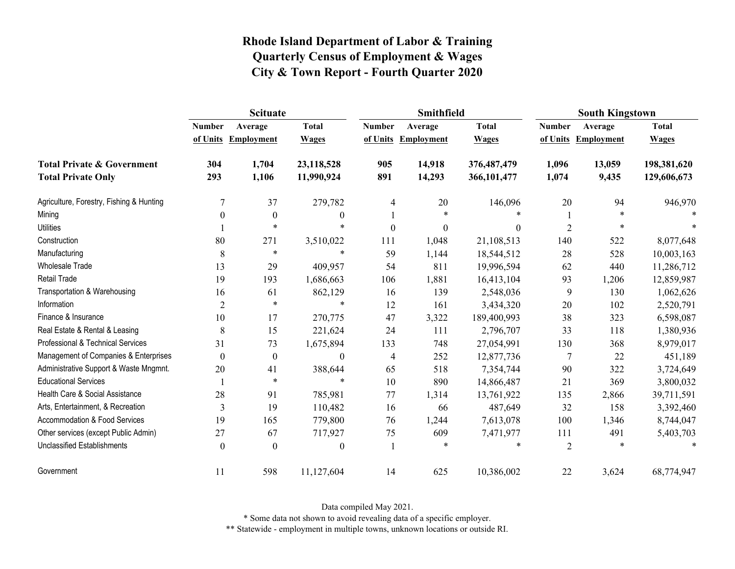|                                                                    | <b>Scituate</b> |                                |                              |                           | Smithfield                   |                              | <b>South Kingstown</b>    |                              |                              |
|--------------------------------------------------------------------|-----------------|--------------------------------|------------------------------|---------------------------|------------------------------|------------------------------|---------------------------|------------------------------|------------------------------|
|                                                                    | <b>Number</b>   | Average<br>of Units Employment | <b>Total</b><br><b>Wages</b> | <b>Number</b><br>of Units | Average<br><b>Employment</b> | <b>Total</b><br><b>Wages</b> | <b>Number</b><br>of Units | Average<br><b>Employment</b> | <b>Total</b><br><b>Wages</b> |
| <b>Total Private &amp; Government</b><br><b>Total Private Only</b> | 304<br>293      | 1,704<br>1,106                 | 23,118,528<br>11,990,924     | 905<br>891                | 14,918<br>14,293             | 376,487,479<br>366,101,477   | 1,096<br>1,074            | 13,059<br>9,435              | 198,381,620<br>129,606,673   |
| Agriculture, Forestry, Fishing & Hunting                           |                 | 37                             | 279,782                      | 4                         | 20                           | 146,096                      | 20                        | 94                           | 946,970                      |
| Mining                                                             | $\Omega$        | $\mathbf{0}$                   | $\theta$                     |                           | $\ast$                       |                              |                           | $\ast$                       |                              |
| <b>Utilities</b>                                                   |                 | $\ast$                         | $\ast$                       | $\mathbf{0}$              | $\theta$                     | $\theta$                     | $\overline{2}$            | *                            |                              |
| Construction                                                       | 80              | 271                            | 3,510,022                    | 111                       | 1,048                        | 21,108,513                   | 140                       | 522                          | 8,077,648                    |
| Manufacturing                                                      | $8\,$           | $\ast$                         | $\ast$                       | 59                        | 1,144                        | 18,544,512                   | 28                        | 528                          | 10,003,163                   |
| <b>Wholesale Trade</b>                                             | 13              | 29                             | 409,957                      | 54                        | 811                          | 19,996,594                   | 62                        | 440                          | 11,286,712                   |
| Retail Trade                                                       | 19              | 193                            | 1,686,663                    | 106                       | 1,881                        | 16,413,104                   | 93                        | 1,206                        | 12,859,987                   |
| Transportation & Warehousing                                       | 16              | 61                             | 862,129                      | 16                        | 139                          | 2,548,036                    | 9                         | 130                          | 1,062,626                    |
| Information                                                        | $\overline{2}$  | $\star$                        | $\ast$                       | 12                        | 161                          | 3,434,320                    | 20                        | 102                          | 2,520,791                    |
| Finance & Insurance                                                | 10              | 17                             | 270,775                      | 47                        | 3,322                        | 189,400,993                  | 38                        | 323                          | 6,598,087                    |
| Real Estate & Rental & Leasing                                     | 8               | 15                             | 221,624                      | 24                        | 111                          | 2,796,707                    | 33                        | 118                          | 1,380,936                    |
| Professional & Technical Services                                  | 31              | 73                             | 1,675,894                    | 133                       | 748                          | 27,054,991                   | 130                       | 368                          | 8,979,017                    |
| Management of Companies & Enterprises                              | $\theta$        | $\boldsymbol{0}$               | $\boldsymbol{0}$             | $\overline{4}$            | 252                          | 12,877,736                   | 7                         | 22                           | 451,189                      |
| Administrative Support & Waste Mngmnt.                             | 20              | 41                             | 388,644                      | 65                        | 518                          | 7,354,744                    | 90                        | 322                          | 3,724,649                    |
| <b>Educational Services</b>                                        |                 | $\ast$                         | $\ast$                       | 10                        | 890                          | 14,866,487                   | 21                        | 369                          | 3,800,032                    |
| Health Care & Social Assistance                                    | 28              | 91                             | 785,981                      | 77                        | 1,314                        | 13,761,922                   | 135                       | 2,866                        | 39,711,591                   |
| Arts, Entertainment, & Recreation                                  | 3               | 19                             | 110,482                      | 16                        | 66                           | 487,649                      | 32                        | 158                          | 3,392,460                    |
| <b>Accommodation &amp; Food Services</b>                           | 19              | 165                            | 779,800                      | 76                        | 1,244                        | 7,613,078                    | 100                       | 1,346                        | 8,744,047                    |
| Other services (except Public Admin)                               | 27              | 67                             | 717,927                      | 75                        | 609                          | 7,471,977                    | 111                       | 491                          | 5,403,703                    |
| <b>Unclassified Establishments</b>                                 | $\theta$        | $\Omega$                       | $\boldsymbol{0}$             |                           | $\ast$                       | *                            | $\overline{2}$            |                              | $\ast$                       |
| Government                                                         | 11              | 598                            | 11,127,604                   | 14                        | 625                          | 10,386,002                   | 22                        | 3,624                        | 68,774,947                   |

Data compiled May 2021.

\* Some data not shown to avoid revealing data of a specific employer.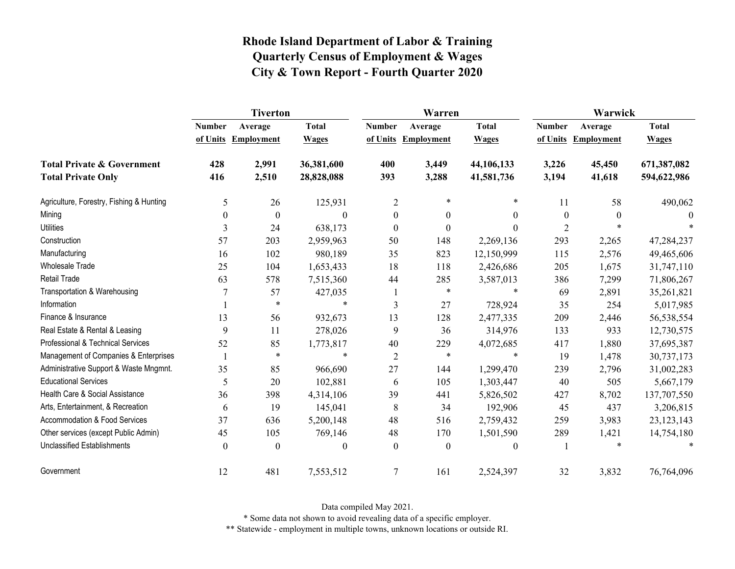|                                          | <b>Tiverton</b>           |                              |                              |                           | Warren                       |                              | Warwick                   |                              |                              |  |
|------------------------------------------|---------------------------|------------------------------|------------------------------|---------------------------|------------------------------|------------------------------|---------------------------|------------------------------|------------------------------|--|
|                                          | <b>Number</b><br>of Units | Average<br><b>Employment</b> | <b>Total</b><br><b>Wages</b> | <b>Number</b><br>of Units | Average<br><b>Employment</b> | <b>Total</b><br><b>Wages</b> | <b>Number</b><br>of Units | Average<br><b>Employment</b> | <b>Total</b><br><b>Wages</b> |  |
| <b>Total Private &amp; Government</b>    | 428                       | 2,991                        | 36,381,600                   | 400                       | 3,449                        | 44,106,133                   | 3,226                     | 45,450                       | 671,387,082                  |  |
| <b>Total Private Only</b>                | 416                       | 2,510                        | 28,828,088                   | 393                       | 3,288                        | 41,581,736                   | 3,194                     | 41,618                       | 594,622,986                  |  |
| Agriculture, Forestry, Fishing & Hunting | 5                         | 26                           | 125,931                      | $\overline{c}$            | $\ast$                       | $\ast$                       | 11                        | 58                           | 490,062                      |  |
| Mining                                   | $\theta$                  | $\boldsymbol{0}$             | $\theta$                     | $\boldsymbol{0}$          | $\boldsymbol{0}$             | $\overline{0}$               | $\boldsymbol{0}$          | $\theta$                     | $\theta$                     |  |
| <b>Utilities</b>                         | 3                         | 24                           | 638,173                      | $\boldsymbol{0}$          | $\boldsymbol{0}$             | $\Omega$                     | $\overline{2}$            | $\ast$                       |                              |  |
| Construction                             | 57                        | 203                          | 2,959,963                    | 50                        | 148                          | 2,269,136                    | 293                       | 2,265                        | 47,284,237                   |  |
| Manufacturing                            | 16                        | 102                          | 980,189                      | 35                        | 823                          | 12,150,999                   | 115                       | 2,576                        | 49,465,606                   |  |
| <b>Wholesale Trade</b>                   | 25                        | 104                          | 1,653,433                    | 18                        | 118                          | 2,426,686                    | 205                       | 1,675                        | 31,747,110                   |  |
| <b>Retail Trade</b>                      | 63                        | 578                          | 7,515,360                    | 44                        | 285                          | 3,587,013                    | 386                       | 7,299                        | 71,806,267                   |  |
| Transportation & Warehousing             | 7                         | 57                           | 427,035                      |                           | $\ast$                       | $\ast$                       | 69                        | 2,891                        | 35,261,821                   |  |
| Information                              |                           | $\ast$                       | $\ast$                       | $\mathfrak{Z}$            | 27                           | 728,924                      | 35                        | 254                          | 5,017,985                    |  |
| Finance & Insurance                      | 13                        | 56                           | 932,673                      | 13                        | 128                          | 2,477,335                    | 209                       | 2,446                        | 56,538,554                   |  |
| Real Estate & Rental & Leasing           | 9                         | 11                           | 278,026                      | 9                         | 36                           | 314,976                      | 133                       | 933                          | 12,730,575                   |  |
| Professional & Technical Services        | 52                        | 85                           | 1,773,817                    | 40                        | 229                          | 4,072,685                    | 417                       | 1,880                        | 37,695,387                   |  |
| Management of Companies & Enterprises    |                           | $\ast$                       | $\star$                      | $\overline{2}$            | $\ast$                       | $\star$                      | 19                        | 1,478                        | 30,737,173                   |  |
| Administrative Support & Waste Mngmnt.   | 35                        | 85                           | 966,690                      | 27                        | 144                          | 1,299,470                    | 239                       | 2,796                        | 31,002,283                   |  |
| <b>Educational Services</b>              | 5                         | 20                           | 102,881                      | 6                         | 105                          | 1,303,447                    | 40                        | 505                          | 5,667,179                    |  |
| Health Care & Social Assistance          | 36                        | 398                          | 4,314,106                    | 39                        | 441                          | 5,826,502                    | 427                       | 8,702                        | 137,707,550                  |  |
| Arts, Entertainment, & Recreation        | 6                         | 19                           | 145,041                      | 8                         | 34                           | 192,906                      | 45                        | 437                          | 3,206,815                    |  |
| <b>Accommodation &amp; Food Services</b> | 37                        | 636                          | 5,200,148                    | 48                        | 516                          | 2,759,432                    | 259                       | 3,983                        | 23, 123, 143                 |  |
| Other services (except Public Admin)     | 45                        | 105                          | 769,146                      | 48                        | 170                          | 1,501,590                    | 289                       | 1,421                        | 14,754,180                   |  |
| <b>Unclassified Establishments</b>       | $\theta$                  | $\theta$                     | $\theta$                     | $\mathbf{0}$              | $\mathbf{0}$                 | $\theta$                     |                           | $\ast$                       | $\ast$                       |  |
| Government                               | 12                        | 481                          | 7,553,512                    | 7                         | 161                          | 2,524,397                    | 32                        | 3,832                        | 76,764,096                   |  |

Data compiled May 2021.

\* Some data not shown to avoid revealing data of a specific employer.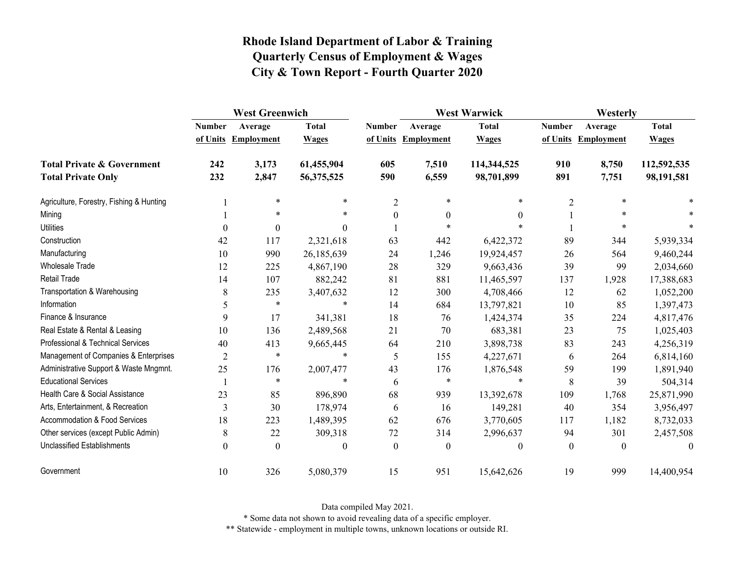|                                          | <b>West Greenwich</b> |                  |              |                  | <b>West Warwick</b> |              | Westerly      |                   |              |
|------------------------------------------|-----------------------|------------------|--------------|------------------|---------------------|--------------|---------------|-------------------|--------------|
|                                          | <b>Number</b>         | Average          | <b>Total</b> | <b>Number</b>    | Average             | <b>Total</b> | <b>Number</b> | Average           | <b>Total</b> |
|                                          | of Units              | Employment       | <b>Wages</b> |                  | of Units Employment | <b>Wages</b> | of Units      | <b>Employment</b> | <b>Wages</b> |
| <b>Total Private &amp; Government</b>    | 242                   | 3,173            | 61,455,904   | 605              | 7,510               | 114,344,525  | 910           | 8,750             | 112,592,535  |
| <b>Total Private Only</b>                | 232                   | 2,847            | 56,375,525   | 590              | 6,559               | 98,701,899   | 891           | 7,751             | 98,191,581   |
| Agriculture, Forestry, Fishing & Hunting |                       | $\ast$           | *            | 2                | $\ast$              | $\ast$       | 2             | $\ast$            |              |
| Mining                                   |                       | $\ast$           | $\ast$       | $\boldsymbol{0}$ | $\boldsymbol{0}$    | $\theta$     |               | $\ast$            |              |
| <b>Utilities</b>                         | $\theta$              | $\boldsymbol{0}$ | $\Omega$     |                  | $\ast$              |              |               | $\ast$            |              |
| Construction                             | 42                    | 117              | 2,321,618    | 63               | 442                 | 6,422,372    | 89            | 344               | 5,939,334    |
| Manufacturing                            | 10                    | 990              | 26,185,639   | 24               | 1,246               | 19,924,457   | 26            | 564               | 9,460,244    |
| <b>Wholesale Trade</b>                   | 12                    | 225              | 4,867,190    | 28               | 329                 | 9,663,436    | 39            | 99                | 2,034,660    |
| Retail Trade                             | 14                    | 107              | 882,242      | 81               | 881                 | 11,465,597   | 137           | 1,928             | 17,388,683   |
| Transportation & Warehousing             | 8                     | 235              | 3,407,632    | 12               | 300                 | 4,708,466    | 12            | 62                | 1,052,200    |
| Information                              | 5                     | $\ast$           | $\ast$       | 14               | 684                 | 13,797,821   | 10            | 85                | 1,397,473    |
| Finance & Insurance                      | 9                     | 17               | 341,381      | 18               | 76                  | 1,424,374    | 35            | 224               | 4,817,476    |
| Real Estate & Rental & Leasing           | 10                    | 136              | 2,489,568    | 21               | 70                  | 683,381      | 23            | 75                | 1,025,403    |
| Professional & Technical Services        | 40                    | 413              | 9,665,445    | 64               | 210                 | 3,898,738    | 83            | 243               | 4,256,319    |
| Management of Companies & Enterprises    | $\overline{2}$        | $\star$          | $\ast$       | 5                | 155                 | 4,227,671    | 6             | 264               | 6,814,160    |
| Administrative Support & Waste Mngmnt.   | 25                    | 176              | 2,007,477    | 43               | 176                 | 1,876,548    | 59            | 199               | 1,891,940    |
| <b>Educational Services</b>              |                       | $\star$          | $\star$      | 6                | $\ast$              | $\ast$       | 8             | 39                | 504,314      |
| Health Care & Social Assistance          | 23                    | 85               | 896,890      | 68               | 939                 | 13,392,678   | 109           | 1,768             | 25,871,990   |
| Arts, Entertainment, & Recreation        | 3                     | 30               | 178,974      | 6                | 16                  | 149,281      | 40            | 354               | 3,956,497    |
| Accommodation & Food Services            | 18                    | 223              | 1,489,395    | 62               | 676                 | 3,770,605    | 117           | 1,182             | 8,732,033    |
| Other services (except Public Admin)     | 8                     | 22               | 309,318      | 72               | 314                 | 2,996,637    | 94            | 301               | 2,457,508    |
| <b>Unclassified Establishments</b>       | $\theta$              | $\theta$         | $\theta$     | $\theta$         | $\boldsymbol{0}$    | $\theta$     | $\theta$      | $\theta$          | $\theta$     |
| Government                               | 10                    | 326              | 5,080,379    | 15               | 951                 | 15,642,626   | 19            | 999               | 14,400,954   |

Data compiled May 2021.

\* Some data not shown to avoid revealing data of a specific employer.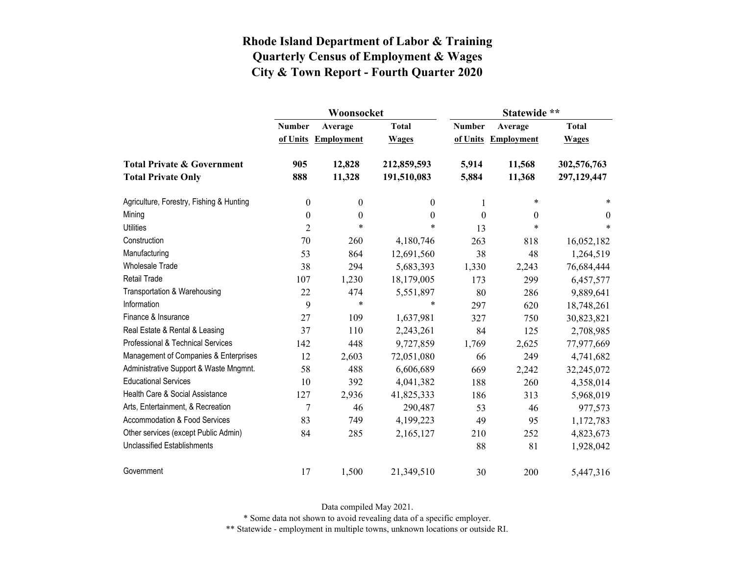|                                          |                  | Woonsocket        |                  | Statewide **     |                     |              |  |
|------------------------------------------|------------------|-------------------|------------------|------------------|---------------------|--------------|--|
|                                          | <b>Number</b>    | Average           | <b>Total</b>     | <b>Number</b>    | Average             | <b>Total</b> |  |
|                                          | of Units         | <b>Employment</b> | <b>Wages</b>     |                  | of Units Employment | <b>Wages</b> |  |
| <b>Total Private &amp; Government</b>    | 905              | 12,828            | 212,859,593      | 5,914            | 11,568              | 302,576,763  |  |
| <b>Total Private Only</b>                | 888              | 11,328            | 191,510,083      | 5,884            | 11,368              | 297,129,447  |  |
| Agriculture, Forestry, Fishing & Hunting | $\boldsymbol{0}$ | $\boldsymbol{0}$  | $\theta$         | 1                | $\ast$              | $\ast$       |  |
| Mining                                   | $\boldsymbol{0}$ | $\boldsymbol{0}$  | $\boldsymbol{0}$ | $\boldsymbol{0}$ | $\mathbf{0}$        | $\theta$     |  |
| <b>Utilities</b>                         | $\overline{2}$   | $\ast$            | $\ast$           | 13               | $\ast$              | *            |  |
| Construction                             | 70               | 260               | 4,180,746        | 263              | 818                 | 16,052,182   |  |
| Manufacturing                            | 53               | 864               | 12,691,560       | 38               | 48                  | 1,264,519    |  |
| <b>Wholesale Trade</b>                   | 38               | 294               | 5,683,393        | 1,330            | 2,243               | 76,684,444   |  |
| <b>Retail Trade</b>                      | 107              | 1,230             | 18,179,005       | 173              | 299                 | 6,457,577    |  |
| Transportation & Warehousing             | 22               | 474               | 5,551,897        | 80               | 286                 | 9,889,641    |  |
| Information                              | 9                | $\ast$            | $\ast$           | 297              | 620                 | 18,748,261   |  |
| Finance & Insurance                      | 27               | 109               | 1,637,981        | 327              | 750                 | 30,823,821   |  |
| Real Estate & Rental & Leasing           | 37               | 110               | 2,243,261        | 84               | 125                 | 2,708,985    |  |
| Professional & Technical Services        | 142              | 448               | 9,727,859        | 1,769            | 2,625               | 77,977,669   |  |
| Management of Companies & Enterprises    | 12               | 2,603             | 72,051,080       | 66               | 249                 | 4,741,682    |  |
| Administrative Support & Waste Mngmnt.   | 58               | 488               | 6,606,689        | 669              | 2,242               | 32,245,072   |  |
| <b>Educational Services</b>              | 10               | 392               | 4,041,382        | 188              | 260                 | 4,358,014    |  |
| Health Care & Social Assistance          | 127              | 2,936             | 41,825,333       | 186              | 313                 | 5,968,019    |  |
| Arts, Entertainment, & Recreation        | $\overline{7}$   | 46                | 290,487          | 53               | 46                  | 977,573      |  |
| <b>Accommodation &amp; Food Services</b> | 83               | 749               | 4,199,223        | 49               | 95                  | 1,172,783    |  |
| Other services (except Public Admin)     | 84               | 285               | 2,165,127        | 210              | 252                 | 4,823,673    |  |
| <b>Unclassified Establishments</b>       |                  |                   |                  | 88               | 81                  | 1,928,042    |  |
| Government                               | 17               | 1,500             | 21,349,510       | 30               | 200                 | 5,447,316    |  |

Data compiled May 2021.

\* Some data not shown to avoid revealing data of a specific employer.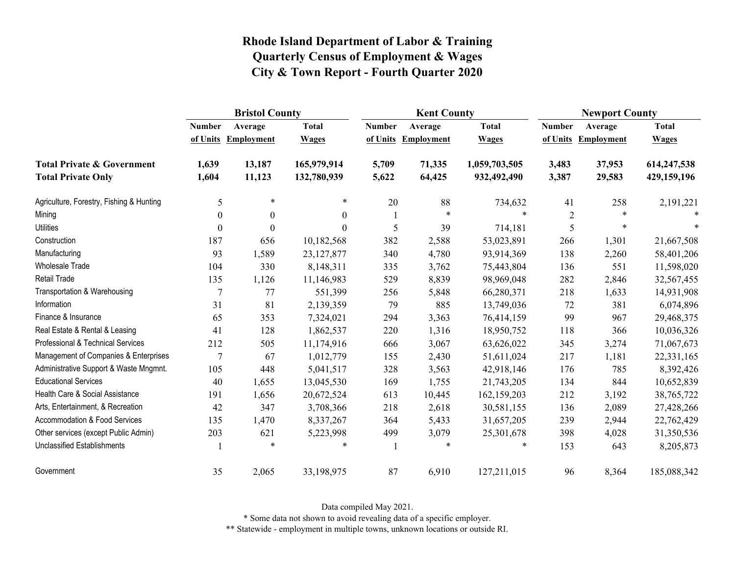|                                          | <b>Bristol County</b> |                     |                |               | <b>Kent County</b>  |               |               | <b>Newport County</b> |              |  |
|------------------------------------------|-----------------------|---------------------|----------------|---------------|---------------------|---------------|---------------|-----------------------|--------------|--|
|                                          | <b>Number</b>         | Average             | <b>Total</b>   | <b>Number</b> | Average             | <b>Total</b>  | <b>Number</b> | Average               | <b>Total</b> |  |
|                                          |                       | of Units Employment | <b>Wages</b>   |               | of Units Employment | <b>Wages</b>  |               | of Units Employment   | <b>Wages</b> |  |
| <b>Total Private &amp; Government</b>    | 1,639                 | 13,187              | 165,979,914    | 5,709         | 71,335              | 1,059,703,505 | 3,483         | 37,953                | 614,247,538  |  |
| <b>Total Private Only</b>                | 1,604                 | 11,123              | 132,780,939    | 5,622         | 64,425              | 932,492,490   | 3,387         | 29,583                | 429,159,196  |  |
| Agriculture, Forestry, Fishing & Hunting | 5                     | $\ast$              | $\ast$         | 20            | 88                  | 734,632       | 41            | 258                   | 2,191,221    |  |
| Mining                                   | $\theta$              | $\boldsymbol{0}$    | $\overline{0}$ | -1            | $\star$             | $\ast$        | $\sqrt{2}$    | $\ast$                |              |  |
| <b>Utilities</b>                         | $\Omega$              | $\Omega$            | $\theta$       | 5             | 39                  | 714,181       | 5             | $\ast$                |              |  |
| Construction                             | 187                   | 656                 | 10,182,568     | 382           | 2,588               | 53,023,891    | 266           | 1,301                 | 21,667,508   |  |
| Manufacturing                            | 93                    | 1,589               | 23,127,877     | 340           | 4,780               | 93,914,369    | 138           | 2,260                 | 58,401,206   |  |
| Wholesale Trade                          | 104                   | 330                 | 8,148,311      | 335           | 3,762               | 75,443,804    | 136           | 551                   | 11,598,020   |  |
| <b>Retail Trade</b>                      | 135                   | 1,126               | 11,146,983     | 529           | 8,839               | 98,969,048    | 282           | 2,846                 | 32,567,455   |  |
| Transportation & Warehousing             | 7                     | 77                  | 551,399        | 256           | 5,848               | 66,280,371    | 218           | 1,633                 | 14,931,908   |  |
| Information                              | 31                    | 81                  | 2,139,359      | 79            | 885                 | 13,749,036    | 72            | 381                   | 6,074,896    |  |
| Finance & Insurance                      | 65                    | 353                 | 7,324,021      | 294           | 3,363               | 76,414,159    | 99            | 967                   | 29,468,375   |  |
| Real Estate & Rental & Leasing           | 41                    | 128                 | 1,862,537      | 220           | 1,316               | 18,950,752    | 118           | 366                   | 10,036,326   |  |
| Professional & Technical Services        | 212                   | 505                 | 11,174,916     | 666           | 3,067               | 63,626,022    | 345           | 3,274                 | 71,067,673   |  |
| Management of Companies & Enterprises    |                       | 67                  | 1,012,779      | 155           | 2,430               | 51,611,024    | 217           | 1,181                 | 22,331,165   |  |
| Administrative Support & Waste Mngmnt.   | 105                   | 448                 | 5,041,517      | 328           | 3,563               | 42,918,146    | 176           | 785                   | 8,392,426    |  |
| <b>Educational Services</b>              | 40                    | 1,655               | 13,045,530     | 169           | 1,755               | 21,743,205    | 134           | 844                   | 10,652,839   |  |
| Health Care & Social Assistance          | 191                   | 1,656               | 20,672,524     | 613           | 10,445              | 162,159,203   | 212           | 3,192                 | 38,765,722   |  |
| Arts, Entertainment, & Recreation        | 42                    | 347                 | 3,708,366      | 218           | 2,618               | 30,581,155    | 136           | 2,089                 | 27,428,266   |  |
| <b>Accommodation &amp; Food Services</b> | 135                   | 1,470               | 8,337,267      | 364           | 5,433               | 31,657,205    | 239           | 2,944                 | 22,762,429   |  |
| Other services (except Public Admin)     | 203                   | 621                 | 5,223,998      | 499           | 3,079               | 25,301,678    | 398           | 4,028                 | 31,350,536   |  |
| <b>Unclassified Establishments</b>       |                       | $\ast$              | $\ast$         |               | $\ast$              | $\ast$        | 153           | 643                   | 8,205,873    |  |
| Government                               | 35                    | 2,065               | 33,198,975     | 87            | 6,910               | 127,211,015   | 96            | 8,364                 | 185,088,342  |  |

Data compiled May 2021.

\* Some data not shown to avoid revealing data of a specific employer.